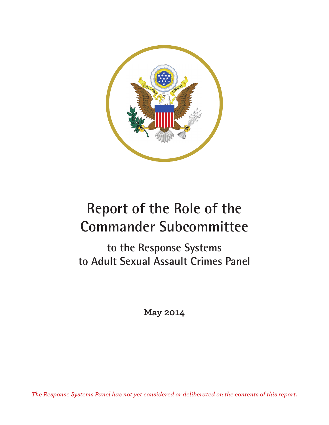

# **Report of the Role of the Commander Subcommittee**

**to the Response Systems to Adult Sexual Assault Crimes Panel**

**May 2014**

*The Response Systems Panel has not yet considered or deliberated on the contents of this report.*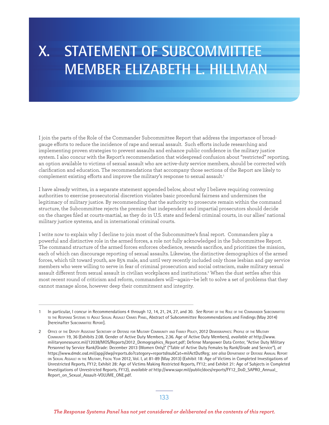# **X. STATEMENT OF SUBCOMMITTEE MEMBER ELIZABETH L. HILLMAN**

I join the parts of the Role of the Commander Subcommittee Report that address the importance of broadgauge eforts to reduce the incidence of rape and sexual assault. Such eforts include researching and implementing proven strategies to prevent assaults and enhance public confidence in the military justice system. I also concur with the Report's recommendation that widespread confusion about "restricted" reporting, an option available to victims of sexual assault who are active-duty service members, should be corrected with clarification and education. The recommendations that accompany those sections of the Report are likely to complement existing efforts and improve the military's response to sexual assault.<sup>1</sup>

I have already written, in a separate statement appended below, about why I believe requiring convening authorities to exercise prosecutorial discretion violates basic procedural fairness and undermines the legitimacy of military justice. By recommending that the authority to prosecute remain within the command structure, the Subcommittee rejects the premise that independent and impartial prosecutors should decide on the charges filed at courts-martial, as they do in U.S. state and federal criminal courts, in our allies' national military justice systems, and in international criminal courts.

I write now to explain why I decline to join most of the Subcommittee's final report. Commanders play a powerful and distinctive role in the armed forces, a role not fully acknowledged in the Subcommittee Report. The command structure of the armed forces enforces obedience, rewards sacrifice, and prioritizes the mission, each of which can discourage reporting of sexual assaults. Likewise, the distinctive demographics of the armed forces, which tilt toward youth, are 85% male, and until very recently included only those lesbian and gay service members who were willing to serve in fear of criminal prosecution and social ostracism, make military sexual assault different from sexual assault in civilian workplaces and institutions.<sup>2</sup> When the dust settles after this most recent round of criticism and reform, commanders will—again—be left to solve a set of problems that they cannot manage alone, however deep their commitment and integrity.

<sup>1</sup> In particular, I concur in Recommendations 4 through 12, 14, 21, 24, 27, and 30. *See* REPORT OF THE ROLE OF THE COMMANDER SUBCOMMITTEE TO THE RESPONSE SYSTEMS TO ADULT SEXUAL ASSAULT CRIMES PANEL, Abstract of Subcommittee Recommendations and Findings (May 2014) [hereinafter SUBCOMMITTEE REPORT].

<sup>2</sup> OFFICE OF THE DEPUTY ASSISTANT SECRETARY OF DEFENSE FOR MILITARY COMMUNITY AND FAMILY POLICY, 2012 DEMOGRAPHICS: PROFILE OF THE MILITARY COMMUNITY 19, 36 (Exhibits 2.08. Gender of Active Duty Members, 2.36. Age of Active Duty Members), *available at* http://www. militaryonesource.mil/12038/MOS/Reports/2012\_Demographics\_Report.pdf; Defense Manpower Data Center, "Active Duty Military Personnel by Service Rank/Grade: December 2013 (Women Only)" ("Table of Active Duty Females by Rank/Grade and Service"), *at* https://www.dmdc.osd.mil/appj/dwp/reports.do?category=reports&subCat=milActDutReg; *see also* DEPARTMENT OF DEFENSE ANNUAL REPORT ON SEXUAL ASSAULT IN THE MILITARY, FISCAL YEAR 2012, Vol. I, at 81-89 (May 2013) (Exhibit 18: Age of Victims in Completed Investigations of Unrestricted Reports, FY12; Exhibit 28: Age of Victims Making Restricted Reports, FY12; and Exhibit 21: Age of Subjects in Completed Investigations of Unrestricted Reports, FY12), *available at* http://www.sapr.mil/public/docs/reports/FY12\_DoD\_SAPRO\_Annual\_ Report\_on\_Sexual\_Assault-VOLUME\_ONE.pdf.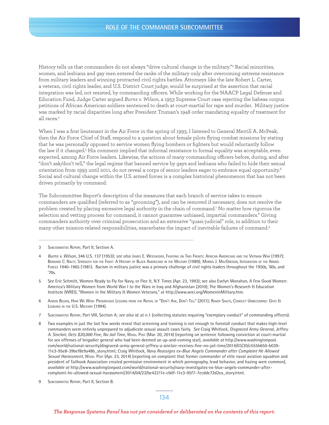History tells us that commanders do not always "drive cultural change in the military."3 Racial minorities, women, and lesbians and gay men entered the ranks of the military only after overcoming extreme resistance from military leaders and winning protracted civil rights battles. Attorneys like the late Robert L. Carter, a veteran, civil rights leader, and U.S. District Court judge, would be surprised at the assertion that racial integration was led, not resisted, by commanding officers. While working for the NAACP Legal Defense and Education Fund, Judge Carter argued *Burns v. Wilson*, a 1953 Supreme Court case rejecting the habeas corpus petitions of African American soldiers sentenced to death at court-martial for rape and murder. Military justice was marked by racial disparities long after President Truman's 1948 order mandating equality of treatment for all races.4

When I was a first lieutenant in the Air Force in the spring of 1993, I listened to General Merrill A. McPeak, then the Air Force Chief of Staf, respond to a question about female pilots flying combat missions by stating that he was personally opposed to service women flying bombers or fighters but would reluctantly follow the law if it changed.<sup>5</sup> His comment implied that informal resistance to formal equality was acceptable, even expected, among Air Force leaders. Likewise, the actions of many commanding officers before, during, and after "don't ask/don't tell," the legal regime that banned service by gays and lesbians who failed to hide their sexual orientation from 1993 until 2011, do not reveal a corps of senior leaders eager to embrace equal opportunity.6 Social and cultural change within the U.S. armed forces is a complex historical phenomenon that has not been driven primarily by command.

The Subcommittee Report's description of the measures that each branch of service takes to ensure commanders are qualified (referred to as "grooming"), and can be removed if necessary, does not resolve the problem created by placing excessive legal authority in the chain of command.7 No matter how rigorous the selection and vetting process for command, it cannot guarantee unbiased, impartial commanders. $^{\text{\tiny{8}}}$  Giving commanders authority over criminal prosecution and an extensive "quasi-judicial" role, in addition to their many other mission-related responsibilities, exacerbates the impact of inevitable failures of command.9

- 4 *Burns v. Wilson,* 346 U.S. 137 (1953); *see also* JAMES E. WESTHEIDER, FIGHTING ON TWO FRONTS: AFRICAN AMERICANS AND THE VIETNAM WAR (1997); BERNARD C. NALTY, STRENGTH FOR THE FIGHT: A HISTORY OF BLACK AMERICANS IN THE MILITARY (1989); MORRIS J. MACGREGOR, INTEGRATION OF THE ARMED FORCES 1940-1965 (1981). Racism in military justice was a primary challenge of civil rights leaders throughout the 1950s, '60s, and '70s.
- 5 See Eric Schmitt, Women Ready to Fly for Navy, or Flee It, N.Y. Times (Apr. 23, 1993); see also Evelyn Monahan, A Few Good Women: America's Military Women from World War I to the Wars in Iraq and Afghanistan (2010); The Women's Research & Education Institute (WREI), "Women in the Military & Women Veterans," at http://www.wrei.org/WomeninMilitary.htm.
- 6 AARON BELKIN, HOW WE WON: PROGRESSIVE LESSONS FROM THE REPEAL OF "DON'T ASK, DON'T TELL" (2011); RANDY SHILTS, CONDUCT UNBECOMING: GAYS & LESBIANS IN THE U.S. MILITARY (1994).
- 7 SUBCOMMITTEE REPORT, Part VIII, Section A; *see also id.* at n.1 (collecting statutes requiring "exemplary conduct" of commanding officers).
- 8 Two examples in just the last few weeks reveal that screening and training is not enough to forestall conduct that makes high-level commanders seem entirely unprepared to adjudicate sexual assault cases fairly. *See* Craig Whitlock, *Disgraced Army General, Jeffrey A. Sinclair, Gets \$20,000 Fine, No Jail Time,* WASH. POST (Mar. 20, 2014) (reporting on sentence following conviction at court-martial for sex offenses of brigadier general who had been deemed an up-and-coming star), *available at* http://www.washingtonpost. com/world/national-security/disgraced-army-general-jeffrey-a-sinclair-receives-fine-no-jail-time/2014/03/20/c555b650-b039- 11e3-95e8-39bef8e9a48b\_story.html; Craig Whitlock, *Navy Reassigns ex-Blue Angels Commander after Complaint He Allowed Sexual Harassment,* WASH. POST (Apr. 23, 2014) (reporting on complaint that former commander of elite naval aviation squadron and president of Tailhook Association created permissive environment in which pornography, lewd behavior, and hazing were common), *available at* http://www.washingtonpost.com/world/national-security/navy-investigates-ex-blue-angels-commander-aftercomplaint-he-allowed-sexual-harassment/2014/04/23/be42211e-cb0f-11e3-95f7-7ecdde72d2ea\_story.html.
- 9 SUBCOMMITTEE REPORT, Part II, Section B.

134

<sup>3</sup> SUBCOMMITTEE REPORT, Part II, Section A.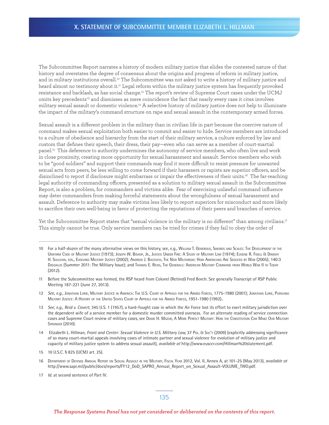The Subcommittee Report narrates a history of modern military justice that elides the contested nature of that history and overstates the degree of consensus about the origins and progress of reform in military justice, and in military institutions overall.<sup>10</sup> The Subcommittee was not asked to write a history of military justice and heard almost no testimony about it.<sup>11</sup> Legal reform within the military justice system has frequently provoked resistance and backlash, as has social change.12 The report's review of Supreme Court cases under the UCMJ omits key precedents<sup>13</sup> and dismisses as mere coincidence the fact that nearly every case it cites involves military sexual assault or domestic violence.14 A selective history of military justice does not help to illuminate the impact of the military's command structure on rape and sexual assault in the contemporary armed forces.

Sexual assault is a diferent problem in the military than in civilian life in part because the coercive nature of command makes sexual exploitation both easier to commit and easier to hide. Service members are introduced to a culture of obedience and hierarchy from the start of their military service, a culture enforced by law and custom that defines their speech, their dress, their pay—even who can serve as a member of court-martial panel.15 This deference to authority undermines the autonomy of service members, who often live and work in close proximity, creating more opportunity for sexual harassment and assault. Service members who wish to be "good soldiers" and support their commands may find it more difficult to resist pressure for unwanted sexual acts from peers, be less willing to come forward if their harassers or rapists are superior officers, and be disinclined to report if disclosure might embarrass or impair the efectiveness of their units.16 The far-reaching legal authority of commanding officers, presented as a solution to military sexual assault in the Subcommittee Report, is also a problem, for commanders and victims alike. Fear of exercising unlawful command influence may deter commanders from making forceful statements about the wrongfulness of sexual harassment and assault. Deference to authority may make victims less likely to report superiors for misconduct and more likely to sacrifice their own well-being in favor of protecting the reputations of their peers and branches of service.

Yet the Subcommittee Report states that "sexual violence in the military is no different" than among civilians.<sup>17</sup> This simply cannot be true. Only service members can be tried for crimes if they fail to obey the order of

16 DEPARTMENT OF DEFENSE ANNUAL REPORT ON SEXUAL ASSAULT IN THE MILITARY, FISCAL YEAR 2012, Vol. II, Annex A, at 101-25 (May 2013), *available at* http://www.sapr.mil/public/docs/reports/FY12\_DoD\_SAPRO\_Annual\_Report\_on\_Sexual\_Assault-VOLUME\_TWO.pdf.

<sup>10</sup> For a half-dozen of the many alternative views on this history, see, e.g., WILLIAM T. GENEROUS, SWORDS AND SCALES: THE DEVELOPMENT OF THE UNIFORM CODE OF MILITARY JUSTICE (1973); JOSEPH W. BISHOP, JR., JUSTICE UNDER FIRE: A STUDY OF MILITARY LAW (1974); EUGENE R. FIDELL & DWIGHT H. SULLIVAN, EDS., EVOLVING MILITARY JUSTICE (2002); ANDREW J. BACEVICH, THE NEW MILITARISM: HOW AMERICANS ARE SEDUCED BY WAR (2005); 140:3 DAEDALUS (Summer 2011: The Military Issue); and Thomas E. RICKS, THE GENERALS: AMERICAN MILITARY COMMAND FROM WORLD WAR II TO TODAY (2012).

<sup>11</sup> Before the Subcommittee was formed, the RSP heard from Colonel (Retired) Fred Borch. See generally Transcript of RSP Public Meeting 187-221 (June 27, 2013).

<sup>12</sup> *See, e.g.,* JONATHAN LURIE, MILITARY JUSTICE IN AMERICA: THE U.S. COURT OF APPEALS FOR THE ARMED FORCES, 1775-1980 (2001); JONATHAN LURIE, PURSUING MILITARY JUSTICE: A HISTORY OF THE UNITED STATES COURT OF APPEALS FOR THE ARMED FORCES, 1951-1980 (1992)..

<sup>13</sup> *See, e.g., Reid v. Covert*, 345 U.S. 1 (1957), a hard-fought case in which the Air Force lost its effort to exert military jurisdiction over the dependent wife of a service member for a domestic murder committed overseas. For an alternate reading of service connection cases and Supreme Court review of military cases, see DIANE H. MAZUR, A MORE PERFECT MILITARY: HOW THE CONSTITUTION CAN MAKE OUR MILITARY STRONGER (2010).

<sup>14</sup> Elizabeth L. Hillman, *Front and Center: Sexual Violence in U.S. Military Law*, 37 PoL. & Soc'y (2009) (explicitly addressing significance of so many court-martial appeals involving cases of intimate partner and sexual violence for evolution of military justice and capacity of military justice system to address sexual assault), *available at* http://www.eusccr.com/Hillman%20statement.pdf.

<sup>15</sup> 10 U.S.C. § 825 (UCMJ art. 25).

<sup>17</sup> *Id.* at second sentence of Part IV.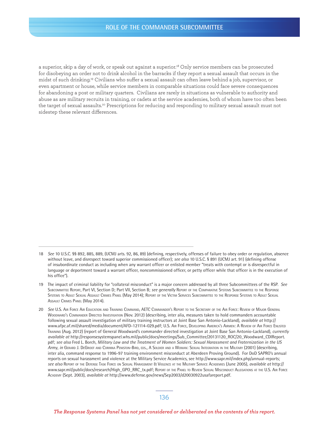a superior, skip a day of work, or speak out against a superior.18 Only service members can be prosecuted for disobeying an order not to drink alcohol in the barracks if they report a sexual assault that occurs in the midst of such drinking.19 Civilians who sufer a sexual assault can often leave behind a job, supervisor, or even apartment or house, while service members in comparable situations could face severe consequences for abandoning a post or military quarters. Civilians are rarely in situations as vulnerable to authority and abuse as are military recruits in training, or cadets at the service academies, both of whom have too often been the target of sexual assaults.20 Prescriptions for reducing and responding to military sexual assault must not sidestep these relevant diferences.

<sup>18</sup> *See* 10 U.S.C. §§ 892, 885, 889, (UCMJ arts. 92, 86, 89) (defining, respectively, offenses of failure to obey order or regulation, absence without leave, and disrespect toward superior commissioned officer); *see also* 10 U.S.C. § 891 (UCMJ art. 91) (defining offense of insubordinate conduct as including when any warrant officer or enlisted member "treats with contempt or is disrespectful in language or deportment toward a warrant officer, noncommissioned officer, or petty officer while that officer is in the execution of his office").

<sup>19</sup> The impact of criminal liability for "collateral misconduct" is a major concern addressed by all three Subcommittees of the RSP. *See* SUBCOMMITTEE REPORT, Part VI, Section D; Part VII, Section B; *see generally* REPORT OF THE COMPARATIVE SYSTEMS SUBCOMMITTEE TO THE RESPONSE SYSTEMS TO ADULT SEXUAL ASSAULT CRIMES PANEL (May 2014); REPORT OF THE VICTIM SERVICES SUBCOMMITTEE TO THE RESPONSE SYSTEMS TO ADULT SEXUAL ASSAULT CRIMES PANEL (May 2014).

<sup>20</sup> *See* U.S. AIR FORCE AIR EDUCATION AND TRAINING COMMAND, AETC COMMANDER'S REPORT TO THE SECRETARY OF THE AIR FORCE: REVIEW OF MAJOR GENERAL WOODWARD'S COMMANDER DIRECTED INVESTIGATION (Nov. 2012) (describing, inter alia, measures taken to hold commanders accountable following sexual assault investigation of military training instructors at Joint Base San Antonio-Lackland), *available at* http:// www.afpc.af.mil/shared/media/document/AFD-121114-029.pdf; U.S. AIR FORCE, DEVELOPING AMERICA'S AIRMEN: A REVIEW OF AIR FORCE ENLISTED TRAINING (Aug. 2012) (report of General Woodward's commander directed investigation at Joint Base San Antonio-Lackland), *currently available at* http://responsesystemspanel.whs.mil/public/docs/meetings/Sub\_Committee/20131120\_ROC/20\_Woodward\_CDIReport. pdf; *see also* Fred L. Borch, *Military Law and the Treatment of Women Soldiers: Sexual Harassment and Fraternization in the US Army*, *in* GERARD J. DEGROOT AND CORINNA PENISTON-BIRD, EDS., A SOLDIER AND A WOMAN: SEXUAL INTEGRATION IN THE MILITARY (2001) (describing, inter alia, command response to 1996-97 training environment misconduct at Aberdeen Proving Ground). For DoD SAPRO's annual reports on sexual harassment and violence at the Military Service Academics, see http://www.sapr.mil/index.php/annual-reports; *see also* REPORT OF THE DEFENSE TASK FORCE ON SEXUAL HARASSMENT & VIOLENCE AT THE MILITARY SERVICE ACADEMIES (June 2005), *available at* http:// WWW.Sapr.mil/public/docs/research/High\_GPO\_RRC\_tx.pdf; REPORT OF THE PANEL TO REVIEW SEXUAL MISCONDUCT ALLEGATIONS AT THE U.S. AIR FORCE ACADEMY (Sept. 2003), *available at* http://www.defense.gov/news/Sep2003/d20030922usafareport.pdf.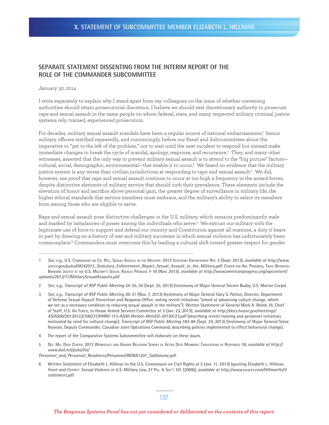### **SEPARATE STATEMENT DISSENTING FROM THE INTERIM REPORT OF THE ROLE OF THE COMMANDER SUBCOMMITTEE**

### January 30, 2014

I write separately to explain why I stand apart from my colleagues on the issue of whether convening authorities should retain prosecutorial discretion. I believe we should vest discretionary authority to prosecute rape and sexual assault in the same people on whom federal, state, and many respected military criminal justice systems rely: trained, experienced prosecutors.

For decades, military sexual assault scandals have been a regular source of national embarrassment.<sup>1</sup> Senior military officers testified repeatedly, and convincingly, before our Panel and Subcommittees about the imperative to "get to the left of the problem," not to wait until the next incident to respond but instead make immediate changes to break the cycle of scandal, apology, response, and recurrence.<sup>2</sup> They, and many other witnesses, asserted that the only way to prevent military sexual assault is to attend to the "big picture" factors cultural, social, demographic, environmental—that enable it to occur.3 We heard no evidence that the military justice system is any worse than civilian jurisdictions at responding to rape and sexual assault.4 We did, however, see proof that rape and sexual assault continue to occur at too high a frequency in the armed forces, despite distinctive elements of military service that should curb their prevalence. These elements include the elevation of honor and sacrifice above personal gain, the greater degree of surveillance in military life, the higher ethical standards that service members must embrace, and the military's ability to select its members from among those who are eligible to serve.

Rape and sexual assault pose distinctive challenges in the U.S. military, which remains predominantly male and marked by imbalances of power among the individuals who serve.5 We entrust our military with the legitimate use of force to support and defend our country and Constitution against all enemies, a duty it bears in part by drawing on a history of war and military successes in which sexual violence has unfortunately been commonplace.6 Commanders must overcome this by leading a cultural shift toward greater respect for gender

- 3 *See, e.g., Transcript of RSP Public Meeting* 30-31 (Nov. 7, 2013) (testimony of Major General Gary S. Patton, Director, Department of Defense Sexual Assault Prevention and Response Office, noting recent initiatives "aimed at advancing culture change, which we see as a necessary condition to reducing sexual assault in the military"); Written Statement of General Mark A. Welsh, III, Chief of Staff, U.S. Air Force, to House Armed Services Committee at 3 (Jan. 23, 2013), *available at http://docs.house.gov/meetings/ AS/AS00/20130123/100231/HHRG-113-AS00-Wstate-WelshG-20130123.pdf* (describing recent training and personnel initiatives motivated by need for cultural change); *Transcript of RSP Public Meeting* 183-84 (Sept. 24, 2013) (testimony of Major General Steve Noonan, Deputy Commander, Canadian Joint Operations Command, describing policies implemented to effect behavioral change).
- 4 The report of the Comparative Systems Subcommittee will elaborate on these issues.
- 5 DEF. MIL. DATA CENTER, 2012 WORKPLACE AND GENDER RELATIONS SURVEY OF ACTIVE DUTY MEMBERS: TABULATIONS OF RESPONSES 18, *available at http:// www.dod.mil/pubs/foi/*

*Personnel\_and\_Personnel\_Readiness/Personnel/WGRA1201\_TabVolume.pdf.*

6 Written Statement of Elizabeth L. Hillman to the U.S. Commission on Civil Rights at 5 (Jan. 11, 2013) (quoting Elizabeth L. Hillman, *Front and Center: Sexual Violence in U.S. Military Law, 37 Pol. & Soc'y 101 (2009)), available at http://www.eusccr.com/Hillman%20 statement.pdf*.

<sup>1</sup> *See, e.g.*, U.S. COMMISSION ON CIV. RTS., SEXUAL ASSAULT IN THE MILITARY: 2013 STATUTORY ENFORCEMENT REP. 2 (Sept. 2013), *available at http://www. usccr.gov/pubs/09242013\_Statutory\_Enforcement\_Report\_Sexual\_Assault\_in\_the\_Military.pdf*; CENTER FOR AM. PROGRESS, TWICE BETRAYED: BRINGING JUSTICE TO THE U.S. MILITARY'S SEXUAL ASSAULT PROBLEM 7-10 (Nov. 2013), *available at http://www.americanprogress.org/wpcontent/ uploads/2013/11/MilitarySexualAssaults.pdf.*

<sup>2</sup> *See, e.g., Transcript of RSP Public Meeting* 34-35, 50 (Sept. 25, 2013) (testimony of Major General Steven Busby, U.S. Marine Corps).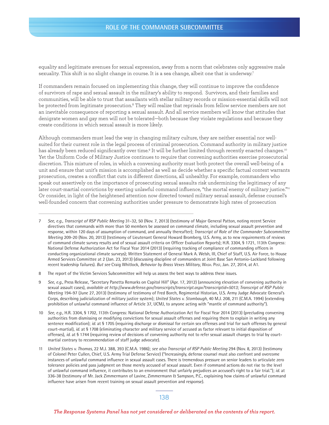### **ROLE OF THE COMMANDER SUBCOMMITTEE**

equality and legitimate avenues for sexual expression, away from a norm that celebrates only aggressive male sexuality. This shift is no slight change in course. It is a sea change, albeit one that is underway.7

If commanders remain focused on implementing this change, they will continue to improve the confidence of survivors of rape and sexual assault in the military's ability to respond. Survivors, and their families and communities, will be able to trust that assailants with stellar military records or mission-essential skills will not be protected from legitimate prosecution.<sup>8</sup> They will realize that reprisals from fellow service members are not an inevitable consequence of reporting a sexual assault. And all service members will know that attitudes that denigrate women and gay men will not be tolerated—both because they violate regulations and because they create conditions in which sexual assault is more likely.

Although commanders must lead the way in changing military culture, they are neither essential nor wellsuited for their current role in the legal process of criminal prosecution. Command authority in military justice has already been reduced significantly over time.<sup>9</sup> It will be further limited through recently enacted changes.'° Yet the Uniform Code of Military Justice continues to require that convening authorities exercise prosecutorial discretion. This mixture of roles, in which a convening authority must both protect the overall well-being of a unit and ensure that unit's mission is accomplished as well as decide whether a specific factual context warrants prosecution, creates a conflict that cuts in diferent directions, all unhealthy. For example, commanders who speak out assertively on the importance of prosecuting sexual assaults risk undermining the legitimacy of any later court-martial convictions by exerting unlawful command influence, "the mortal enemy of military justice."<sup>11</sup> Or consider, in light of the heightened attention now directed toward military sexual assault, defense counsel's well-founded concern that convening authorities under pressure to demonstrate high rates of prosecution

#### 138

<sup>7</sup> *See, e.g., Transcript of RSP Public Meeting* 31-32, 50 (Nov. 7, 2013) (testimony of Major General Patton, noting recent Service directives that commands with more than 50 members be assessed on command climate, including sexual assault prevention and response, within 120 days of assumption of command, and annually thereafter); *Transcript of Role of the Commander Subcommittee Meeting* 209-20 (Nov. 20, 2013) (testimony of Lieutenant General Howard Bromberg, U.S. Army, as to new requirements of reviews of command climate survey results and of sexual assault criteria on Officer Evaluation Reports); H.R. 3304, § 1721, 113th Congress: National Defense Authorization Act for Fiscal Year 2014 (2013) (requiring tracking of compliance of commanding officers in conducting organizational climate surveys); Written Statement of General Mark A. Welsh, III, Chief of Staff, U.S. Air Force, to House Armed Services Committee at 2 (Jan. 23, 2013) (discussing discipline of commanders at Joint Base San Antonio-Lackland following recent leadership failures). *But see* Craig Whitlock, *Behavior by Brass Vexes Military*, WASH. POST, Jan. 27, 2014, at A1.

<sup>8</sup> The report of the Victim Services Subcommittee will help us assess the best ways to address these issues.

<sup>9</sup> *See*, *e.g.,* Press Release, "Secretary Panetta Remarks on Capitol Hill" (Apr. 17, 2012) (announcing elevation of convening authority in sexual assault cases), *available at http://www.defense.gov/transcripts/transcript.aspx?transcriptid=5013; Transcript of RSP Public Meeting* 194-97 (June 27, 2013) (testimony of testimony of Fred Borch, Regimental Historian, U.S. Army Judge Advocate General's Corps, describing judicialization of military justice system); *United States v. Stombaugh*, 40 M.J. 208, 211 (C.M.A. 1994) (extending prohibition of unlawful command influence of Article 37, UCMJ, to anyone acting with "mantle of command authority").

<sup>10</sup> *See, e.g.,* H.R. 3304, § 1702, 113th Congress: National Defense Authorization Act for Fiscal Year 2014 (2013) (precluding convening authorities from dismissing or modifying convictions for sexual assault offenses and requiring them to explain in writing any sentence modification); *id.* at § 1705 (requiring discharge or dismissal for certain sex offenses and trial for such offenses by general court-martial), *id.* at § 1708 (eliminating character and military service of accused as factor relevant to initial disposition of offenses), *id.* at § 1744 (requiring review of decisions of convening authority not to refer sexual assault charges to trial by courtmartial contrary to recommendation of staff judge advocate).

<sup>11</sup> *United States v. Thomas*, 22 M.J. 388, 393 (C.M.A. 1986); *see also Transcript of RSP Public Meeting* 294 (Nov. 8, 2013) (testimony of Colonel Peter Cullen, Chief, U.S. Army Trial Defense Service) ("Increasingly, defense counsel must also confront and overcome instances of unlawful command influence in sexual assault cases. There is tremendous pressure on senior leaders to articulate zero tolerance policies and pass judgment on those merely accused of sexual assault. Even if command actions do not rise to the level of unlawful command influence, it contributes to an environment that unfairly prejudices an accused's right to a fair trial."); *id.* at 336-38 (testimony of Mr. Jack Zimmermann of Lavine, Zimmermann & Sampson, P.C., explaining how claims of unlawful command influence have arisen from recent training on sexual assault prevention and response).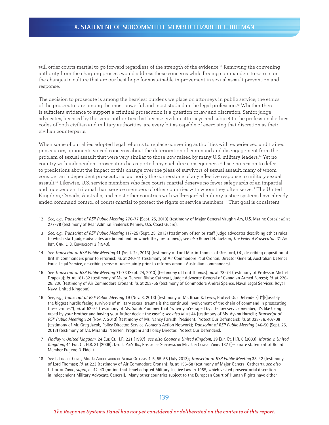will order courts-martial to go forward regardless of the strength of the evidence.<sup>12</sup> Removing the convening authority from the charging process would address these concerns while freeing commanders to zero in on the changes in culture that are our best hope for sustainable improvement in sexual assault prevention and response.

The decision to prosecute is among the heaviest burdens we place on attorneys in public service; the ethics of the prosecutor are among the most powerful and most studied in the legal profession.13 Whether there is sufficient evidence to support a criminal prosecution is a question of law and discretion. Senior judge advocates, licensed by the same authorities that license civilian attorneys and subject to the professional ethics codes of both civilian and military authorities, are every bit as capable of exercising that discretion as their civilian counterparts.

When some of our allies adopted legal reforms to replace convening authorities with experienced and trained prosecutors, opponents voiced concerns about the deterioration of command and disengagement from the problem of sexual assault that were very similar to those now raised by many U.S. military leaders.<sup>14</sup> Yet no country with independent prosecutors has reported any such dire consequences.15 I see no reason to defer to predictions about the impact of this change over the pleas of survivors of sexual assault, many of whom consider an independent prosecutorial authority the cornerstone of any efective response to military sexual assault.16 Likewise, U.S. service members who face courts-martial deserve no fewer safeguards of an impartial and independent tribunal than service members of other countries with whom they often serve.17 The United Kingdom, Canada, Australia, and most other countries with well-regarded military justice systems have already ended command control of courts-martial to protect the rights of service members.18 That goal is consistent

- 12 *See, e.g., Transcript of RSP Public Meeting* 276-77 (Sept. 25, 2013) (testimony of Major General Vaughn Ary, U.S. Marine Corps); *id.* at 277-78 (testimony of Rear Admiral Frederick Kenney, U.S. Coast Guard).
- 13 *See, e.g., Transcript of RSP Public Meeting* 117-25 (Sept. 25, 2013) (testimony of senior staff judge advocates describing ethics rules to which staff judge advocates are bound and on which they are trained); *see also* Robert H. Jackson, *The Federal Prosecutor*, 31 AM. INST. CRIM. L. & CRIMINOLOGY 3 (1940).
- 14 *See Transcript of RSP Public Meeting* 41 (Sept. 24, 2013) (testimony of Lord Martin Thomas of Gresford, QC, describing opposition of British commanders prior to reforms); *id.* at 240-41 (testimony of Air Commodore Paul Cronan, Director General, Australian Defence Force Legal Service, describing sense of uncertainty prior to reforms among Australian commanders).
- 15 *See Transcript of RSP Public Meeting* 71-73 (Sept. 24, 2013) (testimony of Lord Thomas); *id.* at 73-74 (testimony of Professor Michel Drapeau); *id.* at 181-82 (testimony of Major General Blaise Cathcart, Judge Advocate General of Canadian Armed Forces); *id.* at 226- 28, 236 (testimony of Air Commodore Cronan); *id.* at 253-55 (testimony of Commodore Andrei Spence, Naval Legal Services, Royal Navy, United Kingdom).
- 16 *See, e.g., Transcript of RSP Public Meeting* 19 (Nov. 8, 2013) (testimony of Mr. Brian K. Lewis, Protect Our Defenders) ("[P]ossibly the biggest hurdle facing survivors of military sexual trauma is the continued involvement of the chain of command in prosecuting these crimes."); *id.* at 52-54 (testimony of Ms. Sarah Plummer that "when you're raped by a fellow service member, it's like being raped by your brother and having your father decide the case"); *see also id.* at 44 (testimony of Ms. Ayana Harrell); *Transcript of RSP Public Meeting* 324 (Nov. 7, 2013) (testimony of Ms. Nancy Parrish, President, Protect Our Defenders); *id.* at 333-36, 407-08 (testimony of Mr. Greg Jacob, Policy Director, Service Women's Action Network); *Transcript of RSP Public Meeting* 346-50 (Sept. 25, 2013) (testimony of Ms. Miranda Petersen, Program and Policy Director, Protect Our Defenders).
- 17 *Findlay v. United Kingdom*, 24 Eur. Ct. H.R. 221 (1997); *see also Cooper v. United Kingdom*, 39 Eur. Ct. H.R. 8 (2003); *Martin v. United*  Kingdom, 44 Eur. Ct. H.R. 31 (2006); DEF. L. PoL'Y BD., REP. OF THE SUBCOMM. ON MIL. J. IN COMBAT ZONES 187 ((separate statement of Board Member Eugene R. Fidell).
- 18 *See* L. LIBR. OF CONG., MIL. J.: ADJUDICATION OF SEXUAL OFFENSES 4-5, 55-58 (July 2013); *Transcript of RSP Public Meeting* 38-42 (testimony of Lord Thomas); *id.* at 223 (testimony of Air Commodore Cronan); *id.* at 156-58 (testimony of Major General Cathcart), *see also* L. LIBR. OF CONG., *supra*, at 42-43 (noting that Israel adopted Military Justice Law in 1955, which vested prosecutorial discretion in independent Military Advocate General). Many other countries subject to the European Court of Human Rights have either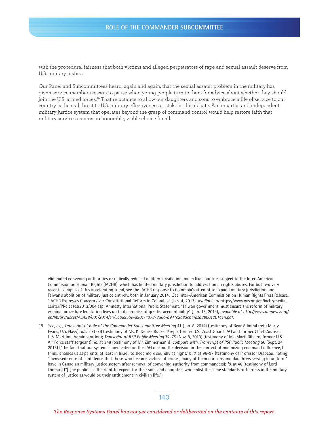with the procedural fairness that both victims and alleged perpetrators of rape and sexual assault deserve from U.S. military justice.

Our Panel and Subcommittees heard, again and again, that the sexual assault problem in the military has given service members reason to pause when young people turn to them for advice about whether they should join the U.S. armed forces.<sup>19</sup> That reluctance to allow our daughters and sons to embrace a life of service to our country is the real threat to U.S. military efectiveness at stake in this debate. An impartial and independent military justice system that operates beyond the grasp of command control would help restore faith that military service remains an honorable, viable choice for all.

eliminated convening authorities or radically reduced military jurisdiction, much like countries subject to the Inter-American Commission on Human Rights (IACHR), which has limited military jurisdiction to address human rights abuses. For but two very recent examples of this accelerating trend, see the IACHR response to Colombia's attempt to expand military jurisdiction and Taiwan's abolition of military justice entirely, both in January 2014. *See* Inter-American Commission on Human Rights Press Release, "IACHR Expresses Concern over Constitutional Reform in Colombia" (Jan. 4, 2013), *available at* https://www.oas.org/en/iachr/media\_ center/PReleases/2013/004.asp; Amnesty International Public Statement, "Taiwan government must ensure the reform of military criminal procedure legislation lives up to its promise of greater accountability" (Jan. 13, 2014), *available at http://www.amnesty.org/ en/library/asset/ASA38/001/2014/en/5c6a95be-d90c-4378-8a6c-d941c2a83cb4/asa380012014en.pdf.*

<sup>19</sup> *See, e.g., Transcript of Role of the Commander Subcommittee Meeting* 41 (Jan. 8, 2014) (testimony of Rear Admiral (ret.) Marty Evans, U.S. Navy); *id.* at 71-76 (testimony of Ms. K. Denise Rucker Krepp, former U.S. Coast Guard JAG and former Chief Counsel, U.S. Maritime Administration); *Transcript of RSP Public Meeting* 72-75 (Nov. 8, 2013) (testimony of Ms. Marti Ribeiro, former U.S. Air Force staff sergeant); *id.* at 348 (testimony of Mr. Zimmermann); *compare with*, *Transcript of RSP Public Meeting* 56 (Sept. 24, 2013) ("The fact that our system is predicated on the JAG making the decision in the context of minimizing command influence, I think, enables us as parents, at least in Israel, to sleep more soundly at night."); *id.* at 96-97 (testimony of Professor Drapeau, noting "increased sense of confidence that those who become victims of crimes, many of them our sons and daughters serving in uniform" have in Canadian military justice system after removal of convening authority from commanders); *id.* at 46 (testimony of Lord Thomas) ("[T]he public has the right to expect for their sons and daughters who enlist the same standards of fairness in the military system of justice as would be their entitlement in civilian life.").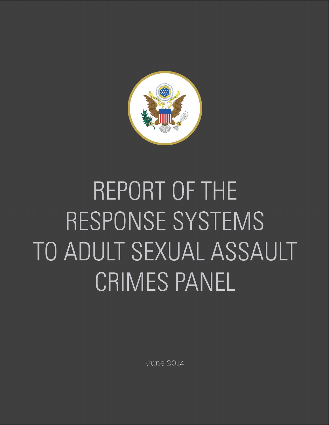

# REPORT OF THE RESPONSE SYSTEMS TO ADULT SEXUAL ASSAULT CRIMES PANEL

**June 2014**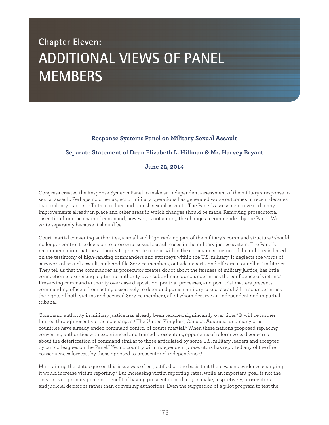## **Chapter Eleven: ADDITIONAL VIEWS OF PANEL MEMBERS**

### **Response Systems Panel on Military Sexual Assault**

## **Separate Statement of Dean Elizabeth L. Hillman & Mr. Harvey Bryant**

### **June 22, 2014**

Congress created the Response Systems Panel to make an independent assessment of the military's response to sexual assault. Perhaps no other aspect of military operations has generated worse outcomes in recent decades than military leaders' eforts to reduce and punish sexual assaults. The Panel's assessment revealed many improvements already in place and other areas in which changes should be made. Removing prosecutorial discretion from the chain of command, however, is not among the changes recommended by the Panel. We write separately because it should be.

Court-martial convening authorities, a small and high-ranking part of the military's command structure,<sup>1</sup> should no longer control the decision to prosecute sexual assault cases in the military justice system. The Panel's recommendation that the authority to prosecute remain within the command structure of the military is based on the testimony of high-ranking commanders and attorneys within the U.S. military. It neglects the words of survivors of sexual assault, rank-and-file Service members, outside experts, and officers in our allies' militaries. They tell us that the commander as prosecutor creates doubt about the fairness of military justice, has little connection to exercising legitimate authority over subordinates, and undermines the confidence of victims.2 Preserving command authority over case disposition, pre-trial processes, and post-trial matters prevents commanding officers from acting assertively to deter and punish military sexual assault.<sup>3</sup> It also undermines the rights of both victims and accused Service members, all of whom deserve an independent and impartial tribunal.

Command authority in military justice has already been reduced significantly over time.4 It will be further limited through recently enacted changes.5 The United Kingdom, Canada, Australia, and many other countries have already ended command control of courts-martial.6 When these nations proposed replacing convening authorities with experienced and trained prosecutors, opponents of reform voiced concerns about the deterioration of command similar to those articulated by some U.S. military leaders and accepted by our colleagues on the Panel.<sup>7</sup> Yet no country with independent prosecutors has reported any of the dire consequences forecast by those opposed to prosecutorial independence.<sup>8</sup>

Maintaining the status quo on this issue was often justified on the basis that there was no evidence changing it would increase victim reporting.<sup>9</sup> But increasing victim reporting rates, while an important goal, is not the only or even primary goal and benefit of having prosecutors and judges make, respectively, prosecutorial and judicial decisions rather than convening authorities. Even the suggestion of a pilot program to test the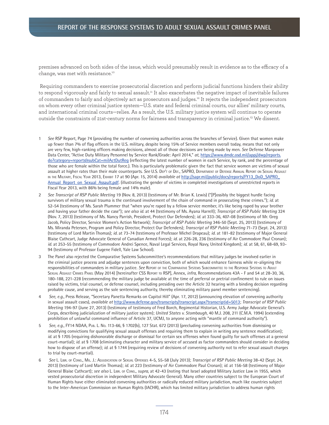### **REPORT OF THE RESPONSE SYSTEMS TO ADULT SEXUAL ASSAULT CRIMES PANEL**

premises advanced on both sides of the issue, which would presumably result in evidence as to the efficacy of a change, was met with resistance.<sup>10</sup>

 Requiring commanders to exercise prosecutorial discretion and perform judicial functions hinders their ability to respond vigorously and fairly to sexual assault.11 It also exacerbates the negative impact of inevitable failures of commanders to fairly and objectively act as prosecutors and judges.12 It rejects the independent prosecutors on whom every other criminal justice system—U.S. state and federal criminal courts, our allies' military courts, and international criminal courts—relies. As a result, the U.S. military justice system will continue to operate outside the constraints of 21st-century norms for fairness and transparency in criminal justice.13 We dissent.

- 1 *See* RSP Report, Page 74 (providing the number of convening authorities across the branches of Service). Given that women make up fewer than 7% of flag officers in the U.S. military, despite being 15% of Service members overall today, means that not only are very few, high-ranking officers making decisions, almost all of those decisions are being made by men. *See* Defense Manpower Data Center, "Active Duty Military Personnel by Service Rank/Grade: April 2014," *at*, https://www.dmdc.osd.mil/appj/dwp/reports. do?category=reports&subCat=milActDutReg (reflecting the latest number of women in each Service, by rank, and the percentage of those who are female within the total force.). This is particularly problematic given the fact that service women are victims of sexual assault at higher rates than their male counterparts. *See* U.S. DEP'T OF DEF., SAPRO, DEPARTMENT OF DEFENSE ANNUAL REPORT ON SEXUAL ASSAULT IN THE MILITARY, FISCAL YEAR 2013, EXHIBIT 17 at 90 (Apr. 15, 2014) *available at* http://sapr.mil/public/docs/reports/FY13\_DoD\_SAPRO\_ Annual\_Report\_on\_Sexual\_Assault.pdf. (illustrating the gender of victims in completed investigations of unrestricted reports in Fiscal Year 2013, with 86% being female and 14% male).
- 2 *See Transcript of RSP Public Meeting* 19 (Nov. 8, 2013) (testimony of Mr. Brian K. Lewis) ("[P]ossibly the biggest hurdle facing survivors of military sexual trauma is the continued involvement of the chain of command in prosecuting these crimes."); *id.* at 52-54 (testimony of Ms. Sarah Plummer that "when you're raped by a fellow service member, it's like being raped by your brother and having your father decide the case"); *see also id.* at 44 (testimony of Ms. Ayana Harrell); *Transcript of RSP Public Meeting* 324 (Nov. 7, 2013) (testimony of Ms. Nancy Parrish, President, Protect Our Defenders); *id.* at 333-36, 407-08 (testimony of Mr. Greg Jacob, Policy Director, Service Women's Action Network); *Transcript of RSP Public Meeting* 346-50 (Sept. 25, 2013) (testimony of Ms. Miranda Petersen, Program and Policy Director, Protect Our Defenders); *Transcript of RSP Public Meeting* 71-73 (Sept. 24, 2013) (testimony of Lord Martin Thomas); *id.* at 73-74 (testimony of Professor Michel Drapeau); *id.* at 181-82 (testimony of Major General Blaise Cathcart, Judge Advocate General of Canadian Armed Forces); *id.* at 226-28, 236 (testimony of Air Commodore Paul Cronan); *id.* at 253-55 (testimony of Commodore Andrei Spence, Naval Legal Services, Royal Navy, United Kingdom); *id.* at 58, 61, 68-69, 93- 94 (testimony of Professor Eugene Fidell, Yale Law School).
- 3 The Panel also rejected the Comparative Systems Subcommittee's recommendations that military judges be involved earlier in the criminal justice process and adjudge sentences upon conviction, both of which would enhance fairness while re-aligning the responsibilities of commanders in military justice. *See* REPORT OF THE COMPARATIVE SYSTEMS SUBCOMMITTEE TO THE RESPONSE SYSTEMS TO ADULT SEXUAL ASSAULT CRIMES PANEL (May 2014) [hereinafter CSS REPORT TO RSP], Annex, *infra,* Recommendations 43A - F and 54 at 28-30, 36, 180-188, 221-228 (recommending the military judge be available at the time of preferral or pretrial confinement to rule on issues raised by victims, trial counsel, or defense counsel, including presiding over the Article 32 hearing with a binding decision regarding probable cause, and serving as the sole sentencing authority, thereby eliminating military panel member sentencing).
- 4 *See*, *e.g.,* Press Release, "Secretary Panetta Remarks on Capitol Hill" (Apr. 17, 2012) (announcing elevation of convening authority in sexual assault cases), *available at* http://www.defense.gov/transcripts/transcript.aspx?transcriptid=5013; *Transcript of RSP Public Meeting* 194-97 (June 27, 2013) (testimony of testimony of Fred Borch, Regimental Historian, U.S. Army Judge Advocate General's Corps, describing judicialization of military justice system); *United States v. Stombaugh*, 40 M.J. 208, 211 (C.M.A. 1994) (extending prohibition of unlawful command influence of Article 37, UCMJ, to anyone acting with "mantle of command authority").
- 5 *See, e.g.,* FY14 NDAA, PUB. L. NO. 113-66, § 1702(b), 127 Stat. 672 (2013) (precluding convening authorities from dismissing or modifying convictions for qualifying sexual assault offenses and requiring them to explain in writing any sentence modification); *id.* at § 1705 (requiring dishonorable discharge or dismissal for certain sex offenses when found guilty for such offenses at a general court-martial); *id.* at § 1708 (eliminating character and military service of accused as factor commanders should consider in deciding how to dispose of an offense); *id.* at § 1744 (requiring review of decisions of convening authority not to refer sexual assault charges to trial by court-martial).
- 6 *See* L. LIBR. OF CONG., MIL. J.: ADJUDICATION OF SEXUAL OFFENSES 4-5, 55-58 (July 2013); *Transcript of RSP Public Meeting* 38-42 (Sept. 24, 2013) (testimony of Lord Martin Thomas); *id.* at 223 (testimony of Air Commodore Paul Cronan); *id.* at 156-58 (testimony of Major General Blaise Cathcart); *see also* L. LIBR. OF CONG., *supra*, at 42-43 (noting that Israel adopted Military Justice Law in 1955, which vested prosecutorial discretion in independent Military Advocate General). Many other countries subject to the European Court of Human Rights have either eliminated convening authorities or radically reduced military jurisdiction, much like countries subject to the Inter-American Commission on Human Rights (IACHR), which has limited military jurisdiction to address human rights